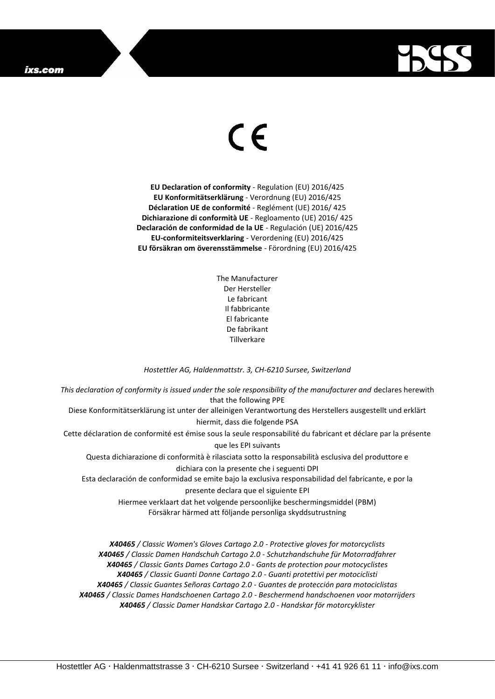## ixs.com



## $\epsilon$

**EU Declaration of conformity** - Regulation (EU) 2016/425 **EU Konformitätserklärung** - Verordnung (EU) 2016/425 **Déclaration UE de conformité** - Reglément (UE) 2016/ 425 **Dichiarazione di conformità UE** - Regloamento (UE) 2016/ 425 **Declaración de conformidad de la UE** - Regulación (UE) 2016/425 **EU-conformiteitsverklaring** - Verordening (EU) 2016/425 **EU försäkran om överensstämmelse** - Förordning (EU) 2016/425

> The Manufacturer Der Hersteller Le fabricant Il fabbricante El fabricante De fabrikant Tillverkare

## *Hostettler AG, Haldenmattstr. 3, CH-6210 Sursee, Switzerland*

*This declaration of conformity is issued under the sole responsibility of the manufacturer and* declares herewith that the following PPE Diese Konformitätserklärung ist unter der alleinigen Verantwortung des Herstellers ausgestellt und erklärt hiermit, dass die folgende PSA Cette déclaration de conformité est émise sous la seule responsabilité du fabricant et déclare par la présente que les EPI suivants Questa dichiarazione di conformità è rilasciata sotto la responsabilità esclusiva del produttore e dichiara con la presente che i seguenti DPI Esta declaración de conformidad se emite bajo la exclusiva responsabilidad del fabricante, e por la presente declara que el siguiente EPI Hiermee verklaart dat het volgende persoonlijke beschermingsmiddel (PBM) Försäkrar härmed att följande personliga skyddsutrustning *X40465 / Classic Women's Gloves Cartago 2.0 - Protective gloves for motorcyclists*

*X40465 / Classic Damen Handschuh Cartago 2.0 - Schutzhandschuhe für Motorradfahrer X40465 / Classic Gants Dames Cartago 2.0 - Gants de protection pour motocyclistes X40465 / Classic Guanti Donne Cartago 2.0 - Guanti protettivi per motociclisti X40465 / Classic Guantes Señoras Cartago 2.0 - Guantes de protección para motociclistas X40465 / Classic Dames Handschoenen Cartago 2.0 - Beschermend handschoenen voor motorrijders X40465 / Classic Damer Handskar Cartago 2.0 - Handskar för motorcyklister*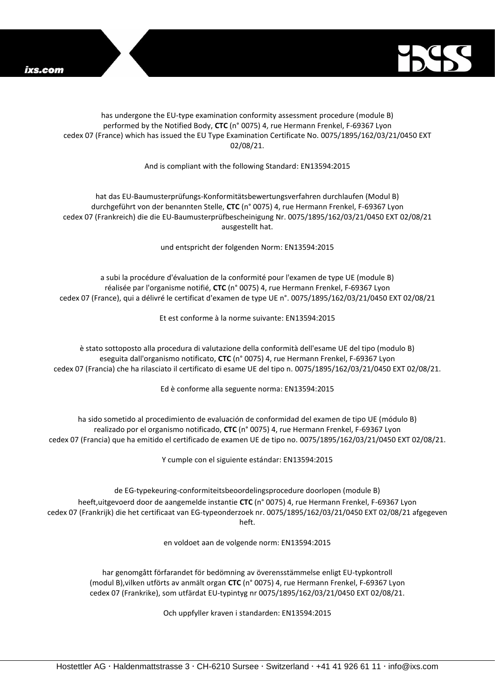

## has undergone the EU-type examination conformity assessment procedure (module B) performed by the Notified Body, **CTC** (n° 0075) 4, rue Hermann Frenkel, F-69367 Lyon cedex 07 (France) which has issued the EU Type Examination Certificate No. 0075/1895/162/03/21/0450 EXT 02/08/21.

And is compliant with the following Standard: EN13594:2015

hat das EU-Baumusterprüfungs-Konformitätsbewertungsverfahren durchlaufen (Modul B) durchgeführt von der benannten Stelle, **CTC** (n° 0075) 4, rue Hermann Frenkel, F-69367 Lyon cedex 07 (Frankreich) die die EU-Baumusterprüfbescheinigung Nr. 0075/1895/162/03/21/0450 EXT 02/08/21 ausgestellt hat.

und entspricht der folgenden Norm: EN13594:2015

a subi la procédure d'évaluation de la conformité pour l'examen de type UE (module B) réalisée par l'organisme notifié, **CTC** (n° 0075) 4, rue Hermann Frenkel, F-69367 Lyon cedex 07 (France), qui a délivré le certificat d'examen de type UE n°. 0075/1895/162/03/21/0450 EXT 02/08/21

Et est conforme à la norme suivante: EN13594:2015

è stato sottoposto alla procedura di valutazione della conformità dell'esame UE del tipo (modulo B) eseguita dall'organismo notificato, **CTC** (n° 0075) 4, rue Hermann Frenkel, F-69367 Lyon cedex 07 (Francia) che ha rilasciato il certificato di esame UE del tipo n. 0075/1895/162/03/21/0450 EXT 02/08/21.

Ed è conforme alla seguente norma: EN13594:2015

ha sido sometido al procedimiento de evaluación de conformidad del examen de tipo UE (módulo B) realizado por el organismo notificado, **CTC** (n° 0075) 4, rue Hermann Frenkel, F-69367 Lyon cedex 07 (Francia) que ha emitido el certificado de examen UE de tipo no. 0075/1895/162/03/21/0450 EXT 02/08/21.

Y cumple con el siguiente estándar: EN13594:2015

de EG-typekeuring-conformiteitsbeoordelingsprocedure doorlopen (module B) heeft,uitgevoerd door de aangemelde instantie **CTC** (n° 0075) 4, rue Hermann Frenkel, F-69367 Lyon cedex 07 (Frankrijk) die het certificaat van EG-typeonderzoek nr. 0075/1895/162/03/21/0450 EXT 02/08/21 afgegeven heft.

en voldoet aan de volgende norm: EN13594:2015

har genomgått förfarandet för bedömning av överensstämmelse enligt EU-typkontroll (modul B),vilken utförts av anmält organ **CTC** (n° 0075) 4, rue Hermann Frenkel, F-69367 Lyon cedex 07 (Frankrike), som utfärdat EU-typintyg nr 0075/1895/162/03/21/0450 EXT 02/08/21.

Och uppfyller kraven i standarden: EN13594:2015